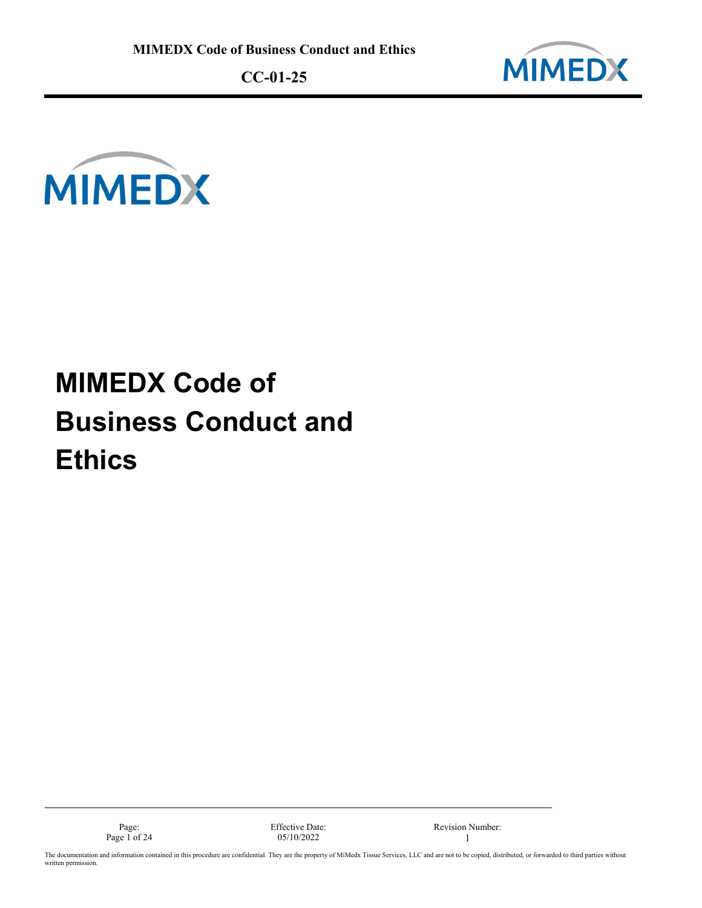



# **MIMEDX Code of Business Conduct and Ethics**



The documentation and information contained in this procedure are confidential. They are the property of MiMedx Tissue Services, LLC and are not to be copied, distributed, or forwarded to third parties without written permission.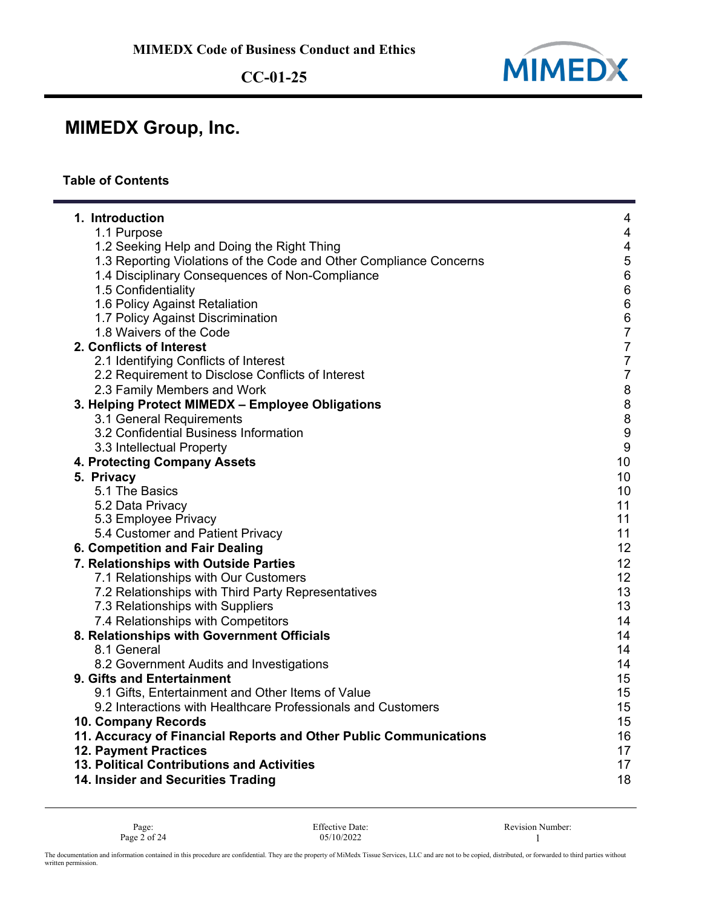

### **MIMEDX Group, Inc.**

#### **Table of Contents**

| 1. Introduction<br>$\overline{4}$<br>$\overline{4}$<br>1.1 Purpose<br>$\overline{4}$<br>1.2 Seeking Help and Doing the Right Thing<br>1.3 Reporting Violations of the Code and Other Compliance Concerns<br>5<br>$\overline{6}$<br>1.4 Disciplinary Consequences of Non-Compliance<br>$\,6$<br>1.5 Confidentiality<br>$\,6$<br>1.6 Policy Against Retaliation<br>$\,6$<br>1.7 Policy Against Discrimination<br>$\overline{7}$<br>1.8 Waivers of the Code<br>$\overline{7}$<br>2. Conflicts of Interest<br>$\overline{7}$<br>2.1 Identifying Conflicts of Interest<br>$\overline{7}$<br>2.2 Requirement to Disclose Conflicts of Interest<br>8<br>2.3 Family Members and Work<br>8<br>3. Helping Protect MIMEDX - Employee Obligations<br>8<br>3.1 General Requirements<br>$\overline{9}$<br>3.2 Confidential Business Information<br>$\boldsymbol{9}$<br>3.3 Intellectual Property<br>10<br>4. Protecting Company Assets<br>5. Privacy<br>10<br>5.1 The Basics<br>10<br>11<br>5.2 Data Privacy<br>11<br>5.3 Employee Privacy<br>11<br>5.4 Customer and Patient Privacy<br>12<br>6. Competition and Fair Dealing<br>7. Relationships with Outside Parties<br>12<br>12<br>7.1 Relationships with Our Customers<br>13<br>7.2 Relationships with Third Party Representatives<br>13<br>7.3 Relationships with Suppliers<br>7.4 Relationships with Competitors<br>14<br>8. Relationships with Government Officials<br>14<br>8.1 General<br>14<br>14<br>8.2 Government Audits and Investigations<br>15<br>9. Gifts and Entertainment<br>15<br>9.1 Gifts, Entertainment and Other Items of Value<br>9.2 Interactions with Healthcare Professionals and Customers<br>15<br>15<br>10. Company Records<br>16<br>11. Accuracy of Financial Reports and Other Public Communications<br>17<br><b>12. Payment Practices</b><br>13. Political Contributions and Activities<br>17<br>18<br>14. Insider and Securities Trading |  |
|--------------------------------------------------------------------------------------------------------------------------------------------------------------------------------------------------------------------------------------------------------------------------------------------------------------------------------------------------------------------------------------------------------------------------------------------------------------------------------------------------------------------------------------------------------------------------------------------------------------------------------------------------------------------------------------------------------------------------------------------------------------------------------------------------------------------------------------------------------------------------------------------------------------------------------------------------------------------------------------------------------------------------------------------------------------------------------------------------------------------------------------------------------------------------------------------------------------------------------------------------------------------------------------------------------------------------------------------------------------------------------------------------------------------------------------------------------------------------------------------------------------------------------------------------------------------------------------------------------------------------------------------------------------------------------------------------------------------------------------------------------------------------------------------------------------------------------------------------------------------------------------------------------------|--|
|                                                                                                                                                                                                                                                                                                                                                                                                                                                                                                                                                                                                                                                                                                                                                                                                                                                                                                                                                                                                                                                                                                                                                                                                                                                                                                                                                                                                                                                                                                                                                                                                                                                                                                                                                                                                                                                                                                              |  |
|                                                                                                                                                                                                                                                                                                                                                                                                                                                                                                                                                                                                                                                                                                                                                                                                                                                                                                                                                                                                                                                                                                                                                                                                                                                                                                                                                                                                                                                                                                                                                                                                                                                                                                                                                                                                                                                                                                              |  |
|                                                                                                                                                                                                                                                                                                                                                                                                                                                                                                                                                                                                                                                                                                                                                                                                                                                                                                                                                                                                                                                                                                                                                                                                                                                                                                                                                                                                                                                                                                                                                                                                                                                                                                                                                                                                                                                                                                              |  |
|                                                                                                                                                                                                                                                                                                                                                                                                                                                                                                                                                                                                                                                                                                                                                                                                                                                                                                                                                                                                                                                                                                                                                                                                                                                                                                                                                                                                                                                                                                                                                                                                                                                                                                                                                                                                                                                                                                              |  |
|                                                                                                                                                                                                                                                                                                                                                                                                                                                                                                                                                                                                                                                                                                                                                                                                                                                                                                                                                                                                                                                                                                                                                                                                                                                                                                                                                                                                                                                                                                                                                                                                                                                                                                                                                                                                                                                                                                              |  |
|                                                                                                                                                                                                                                                                                                                                                                                                                                                                                                                                                                                                                                                                                                                                                                                                                                                                                                                                                                                                                                                                                                                                                                                                                                                                                                                                                                                                                                                                                                                                                                                                                                                                                                                                                                                                                                                                                                              |  |
|                                                                                                                                                                                                                                                                                                                                                                                                                                                                                                                                                                                                                                                                                                                                                                                                                                                                                                                                                                                                                                                                                                                                                                                                                                                                                                                                                                                                                                                                                                                                                                                                                                                                                                                                                                                                                                                                                                              |  |
|                                                                                                                                                                                                                                                                                                                                                                                                                                                                                                                                                                                                                                                                                                                                                                                                                                                                                                                                                                                                                                                                                                                                                                                                                                                                                                                                                                                                                                                                                                                                                                                                                                                                                                                                                                                                                                                                                                              |  |
|                                                                                                                                                                                                                                                                                                                                                                                                                                                                                                                                                                                                                                                                                                                                                                                                                                                                                                                                                                                                                                                                                                                                                                                                                                                                                                                                                                                                                                                                                                                                                                                                                                                                                                                                                                                                                                                                                                              |  |
|                                                                                                                                                                                                                                                                                                                                                                                                                                                                                                                                                                                                                                                                                                                                                                                                                                                                                                                                                                                                                                                                                                                                                                                                                                                                                                                                                                                                                                                                                                                                                                                                                                                                                                                                                                                                                                                                                                              |  |
|                                                                                                                                                                                                                                                                                                                                                                                                                                                                                                                                                                                                                                                                                                                                                                                                                                                                                                                                                                                                                                                                                                                                                                                                                                                                                                                                                                                                                                                                                                                                                                                                                                                                                                                                                                                                                                                                                                              |  |
|                                                                                                                                                                                                                                                                                                                                                                                                                                                                                                                                                                                                                                                                                                                                                                                                                                                                                                                                                                                                                                                                                                                                                                                                                                                                                                                                                                                                                                                                                                                                                                                                                                                                                                                                                                                                                                                                                                              |  |
|                                                                                                                                                                                                                                                                                                                                                                                                                                                                                                                                                                                                                                                                                                                                                                                                                                                                                                                                                                                                                                                                                                                                                                                                                                                                                                                                                                                                                                                                                                                                                                                                                                                                                                                                                                                                                                                                                                              |  |
|                                                                                                                                                                                                                                                                                                                                                                                                                                                                                                                                                                                                                                                                                                                                                                                                                                                                                                                                                                                                                                                                                                                                                                                                                                                                                                                                                                                                                                                                                                                                                                                                                                                                                                                                                                                                                                                                                                              |  |
|                                                                                                                                                                                                                                                                                                                                                                                                                                                                                                                                                                                                                                                                                                                                                                                                                                                                                                                                                                                                                                                                                                                                                                                                                                                                                                                                                                                                                                                                                                                                                                                                                                                                                                                                                                                                                                                                                                              |  |
|                                                                                                                                                                                                                                                                                                                                                                                                                                                                                                                                                                                                                                                                                                                                                                                                                                                                                                                                                                                                                                                                                                                                                                                                                                                                                                                                                                                                                                                                                                                                                                                                                                                                                                                                                                                                                                                                                                              |  |
|                                                                                                                                                                                                                                                                                                                                                                                                                                                                                                                                                                                                                                                                                                                                                                                                                                                                                                                                                                                                                                                                                                                                                                                                                                                                                                                                                                                                                                                                                                                                                                                                                                                                                                                                                                                                                                                                                                              |  |
|                                                                                                                                                                                                                                                                                                                                                                                                                                                                                                                                                                                                                                                                                                                                                                                                                                                                                                                                                                                                                                                                                                                                                                                                                                                                                                                                                                                                                                                                                                                                                                                                                                                                                                                                                                                                                                                                                                              |  |
|                                                                                                                                                                                                                                                                                                                                                                                                                                                                                                                                                                                                                                                                                                                                                                                                                                                                                                                                                                                                                                                                                                                                                                                                                                                                                                                                                                                                                                                                                                                                                                                                                                                                                                                                                                                                                                                                                                              |  |
|                                                                                                                                                                                                                                                                                                                                                                                                                                                                                                                                                                                                                                                                                                                                                                                                                                                                                                                                                                                                                                                                                                                                                                                                                                                                                                                                                                                                                                                                                                                                                                                                                                                                                                                                                                                                                                                                                                              |  |
|                                                                                                                                                                                                                                                                                                                                                                                                                                                                                                                                                                                                                                                                                                                                                                                                                                                                                                                                                                                                                                                                                                                                                                                                                                                                                                                                                                                                                                                                                                                                                                                                                                                                                                                                                                                                                                                                                                              |  |
|                                                                                                                                                                                                                                                                                                                                                                                                                                                                                                                                                                                                                                                                                                                                                                                                                                                                                                                                                                                                                                                                                                                                                                                                                                                                                                                                                                                                                                                                                                                                                                                                                                                                                                                                                                                                                                                                                                              |  |
|                                                                                                                                                                                                                                                                                                                                                                                                                                                                                                                                                                                                                                                                                                                                                                                                                                                                                                                                                                                                                                                                                                                                                                                                                                                                                                                                                                                                                                                                                                                                                                                                                                                                                                                                                                                                                                                                                                              |  |
|                                                                                                                                                                                                                                                                                                                                                                                                                                                                                                                                                                                                                                                                                                                                                                                                                                                                                                                                                                                                                                                                                                                                                                                                                                                                                                                                                                                                                                                                                                                                                                                                                                                                                                                                                                                                                                                                                                              |  |
|                                                                                                                                                                                                                                                                                                                                                                                                                                                                                                                                                                                                                                                                                                                                                                                                                                                                                                                                                                                                                                                                                                                                                                                                                                                                                                                                                                                                                                                                                                                                                                                                                                                                                                                                                                                                                                                                                                              |  |
|                                                                                                                                                                                                                                                                                                                                                                                                                                                                                                                                                                                                                                                                                                                                                                                                                                                                                                                                                                                                                                                                                                                                                                                                                                                                                                                                                                                                                                                                                                                                                                                                                                                                                                                                                                                                                                                                                                              |  |
|                                                                                                                                                                                                                                                                                                                                                                                                                                                                                                                                                                                                                                                                                                                                                                                                                                                                                                                                                                                                                                                                                                                                                                                                                                                                                                                                                                                                                                                                                                                                                                                                                                                                                                                                                                                                                                                                                                              |  |
|                                                                                                                                                                                                                                                                                                                                                                                                                                                                                                                                                                                                                                                                                                                                                                                                                                                                                                                                                                                                                                                                                                                                                                                                                                                                                                                                                                                                                                                                                                                                                                                                                                                                                                                                                                                                                                                                                                              |  |
|                                                                                                                                                                                                                                                                                                                                                                                                                                                                                                                                                                                                                                                                                                                                                                                                                                                                                                                                                                                                                                                                                                                                                                                                                                                                                                                                                                                                                                                                                                                                                                                                                                                                                                                                                                                                                                                                                                              |  |
|                                                                                                                                                                                                                                                                                                                                                                                                                                                                                                                                                                                                                                                                                                                                                                                                                                                                                                                                                                                                                                                                                                                                                                                                                                                                                                                                                                                                                                                                                                                                                                                                                                                                                                                                                                                                                                                                                                              |  |
|                                                                                                                                                                                                                                                                                                                                                                                                                                                                                                                                                                                                                                                                                                                                                                                                                                                                                                                                                                                                                                                                                                                                                                                                                                                                                                                                                                                                                                                                                                                                                                                                                                                                                                                                                                                                                                                                                                              |  |
|                                                                                                                                                                                                                                                                                                                                                                                                                                                                                                                                                                                                                                                                                                                                                                                                                                                                                                                                                                                                                                                                                                                                                                                                                                                                                                                                                                                                                                                                                                                                                                                                                                                                                                                                                                                                                                                                                                              |  |
|                                                                                                                                                                                                                                                                                                                                                                                                                                                                                                                                                                                                                                                                                                                                                                                                                                                                                                                                                                                                                                                                                                                                                                                                                                                                                                                                                                                                                                                                                                                                                                                                                                                                                                                                                                                                                                                                                                              |  |
|                                                                                                                                                                                                                                                                                                                                                                                                                                                                                                                                                                                                                                                                                                                                                                                                                                                                                                                                                                                                                                                                                                                                                                                                                                                                                                                                                                                                                                                                                                                                                                                                                                                                                                                                                                                                                                                                                                              |  |
|                                                                                                                                                                                                                                                                                                                                                                                                                                                                                                                                                                                                                                                                                                                                                                                                                                                                                                                                                                                                                                                                                                                                                                                                                                                                                                                                                                                                                                                                                                                                                                                                                                                                                                                                                                                                                                                                                                              |  |
|                                                                                                                                                                                                                                                                                                                                                                                                                                                                                                                                                                                                                                                                                                                                                                                                                                                                                                                                                                                                                                                                                                                                                                                                                                                                                                                                                                                                                                                                                                                                                                                                                                                                                                                                                                                                                                                                                                              |  |
|                                                                                                                                                                                                                                                                                                                                                                                                                                                                                                                                                                                                                                                                                                                                                                                                                                                                                                                                                                                                                                                                                                                                                                                                                                                                                                                                                                                                                                                                                                                                                                                                                                                                                                                                                                                                                                                                                                              |  |
|                                                                                                                                                                                                                                                                                                                                                                                                                                                                                                                                                                                                                                                                                                                                                                                                                                                                                                                                                                                                                                                                                                                                                                                                                                                                                                                                                                                                                                                                                                                                                                                                                                                                                                                                                                                                                                                                                                              |  |
|                                                                                                                                                                                                                                                                                                                                                                                                                                                                                                                                                                                                                                                                                                                                                                                                                                                                                                                                                                                                                                                                                                                                                                                                                                                                                                                                                                                                                                                                                                                                                                                                                                                                                                                                                                                                                                                                                                              |  |
|                                                                                                                                                                                                                                                                                                                                                                                                                                                                                                                                                                                                                                                                                                                                                                                                                                                                                                                                                                                                                                                                                                                                                                                                                                                                                                                                                                                                                                                                                                                                                                                                                                                                                                                                                                                                                                                                                                              |  |
|                                                                                                                                                                                                                                                                                                                                                                                                                                                                                                                                                                                                                                                                                                                                                                                                                                                                                                                                                                                                                                                                                                                                                                                                                                                                                                                                                                                                                                                                                                                                                                                                                                                                                                                                                                                                                                                                                                              |  |

Page: Effective Date: Revision Number: Page 2 of 24 1 25/10/2022 Page 2 of 24  $05/10/2022$  1

The documentation and information contained in this procedure are confidential. They are the property of MiMedx Tissue Services, LLC and are not to be copied, distributed, or forwarded to third parties without<br>written perm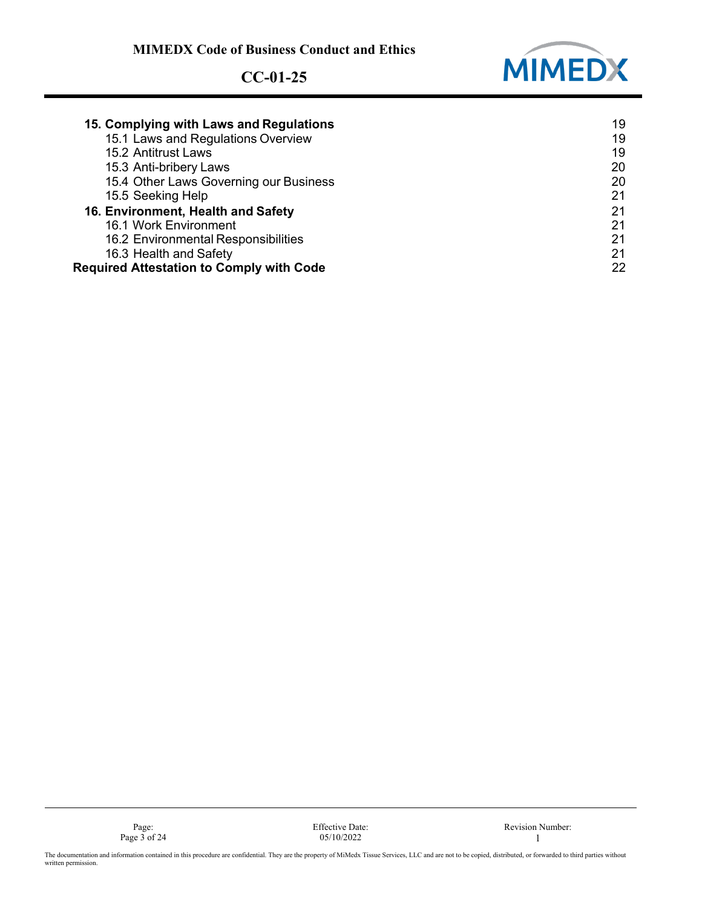

| 15. Complying with Laws and Regulations         | 19 |
|-------------------------------------------------|----|
| 15.1 Laws and Regulations Overview              | 19 |
| 15.2 Antitrust Laws                             | 19 |
| 15.3 Anti-bribery Laws                          | 20 |
| 15.4 Other Laws Governing our Business          | 20 |
| 15.5 Seeking Help                               | 21 |
| 16. Environment, Health and Safety              | 21 |
| 16.1 Work Environment                           | 21 |
| 16.2 Environmental Responsibilities             | 21 |
| 16.3 Health and Safety                          | 21 |
| <b>Required Attestation to Comply with Code</b> | 22 |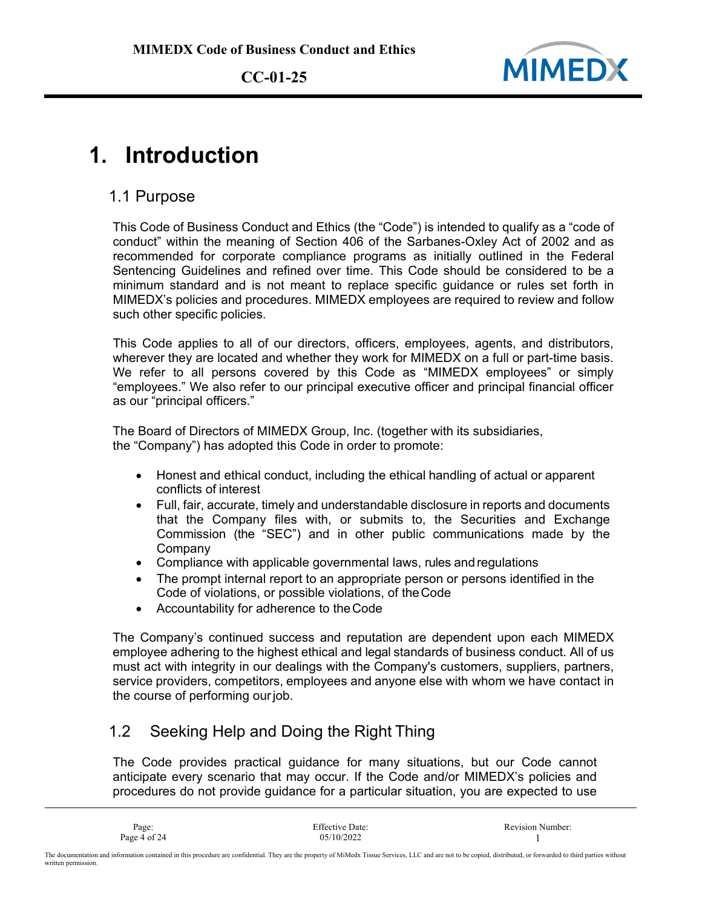

### **1. Introduction**

#### 1.1 Purpose

This Code of Business Conduct and Ethics (the "Code") is intended to qualify as a "code of conduct" within the meaning of Section 406 of the Sarbanes-Oxley Act of 2002 and as recommended for corporate compliance programs as initially outlined in the Federal Sentencing Guidelines and refined over time. This Code should be considered to be a minimum standard and is not meant to replace specific guidance or rules set forth in MIMEDX's policies and procedures. MIMEDX employees are required to review and follow such other specific policies.

This Code applies to all of our directors, officers, employees, agents, and distributors, wherever they are located and whether they work for MIMEDX on a full or part-time basis. We refer to all persons covered by this Code as "MIMEDX employees" or simply "employees." We also refer to our principal executive officer and principal financial officer as our "principal officers."

The Board of Directors of MIMEDX Group, Inc. (together with its subsidiaries, the "Company") has adopted this Code in order to promote:

- Honest and ethical conduct, including the ethical handling of actual or apparent conflicts of interest
- Full, fair, accurate, timely and understandable disclosure in reports and documents that the Company files with, or submits to, the Securities and Exchange Commission (the "SEC") and in other public communications made by the Company
- Compliance with applicable governmental laws, rules and regulations
- The prompt internal report to an appropriate person or persons identified in the Code of violations, or possible violations, of theCode
- Accountability for adherence to theCode

The Company's continued success and reputation are dependent upon each MIMEDX employee adhering to the highest ethical and legal standards of business conduct. All of us must act with integrity in our dealings with the Company's customers, suppliers, partners, service providers, competitors, employees and anyone else with whom we have contact in the course of performing ourjob.

### 1.2 Seeking Help and Doing the Right Thing

The Code provides practical guidance for many situations, but our Code cannot anticipate every scenario that may occur. If the Code and/or MIMEDX's policies and procedures do not provide guidance for a particular situation, you are expected to use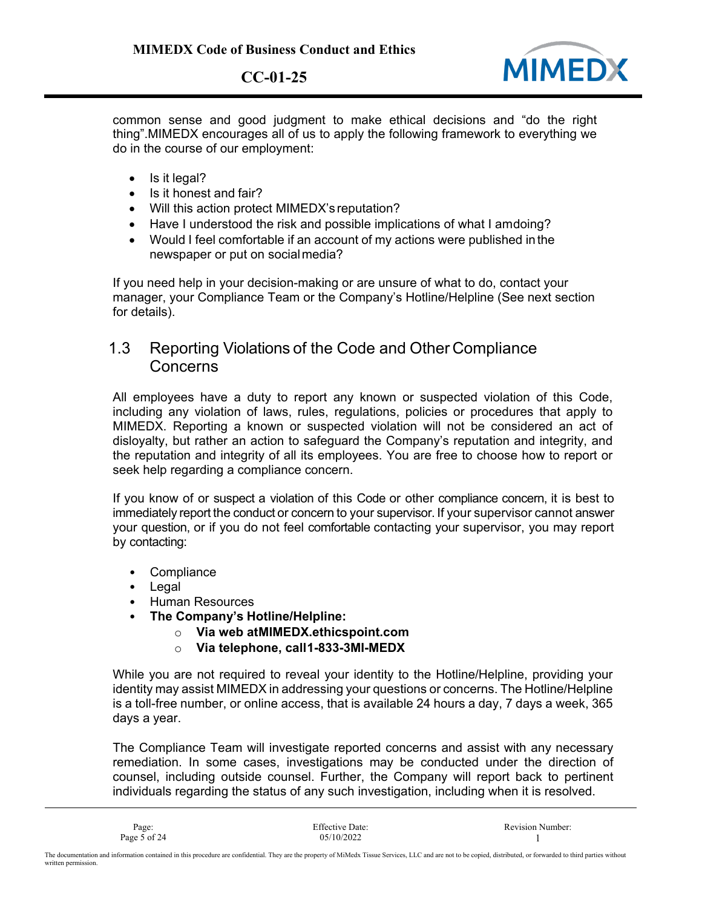

common sense and good judgment to make ethical decisions and "do the right thing".MIMEDX encourages all of us to apply the following framework to everything we do in the course of our employment:

- Is it legal?
- Is it honest and fair?
- Will this action protect MIMEDX's reputation?
- Have I understood the risk and possible implications of what I amdoing?
- Would I feel comfortable if an account of my actions were published inthe newspaper or put on socialmedia?

If you need help in your decision-making or are unsure of what to do, contact your manager, your Compliance Team or the Company's Hotline/Helpline (See next section for details).

#### 1.3 Reporting Violations of the Code and Other Compliance **Concerns**

All employees have a duty to report any known or suspected violation of this Code, including any violation of laws, rules, regulations, policies or procedures that apply to MIMEDX. Reporting a known or suspected violation will not be considered an act of disloyalty, but rather an action to safeguard the Company's reputation and integrity, and the reputation and integrity of all its employees. You are free to choose how to report or seek help regarding a compliance concern.

If you know of or suspect a violation of this Code or other compliance concern, it is best to immediately report the conduct or concern to your supervisor. If your supervisor cannot answer your question, or if you do not feel comfortable contacting your supervisor, you may report by contacting:

- Compliance
- Legal
- Human Resources
- **The Company's Hotline/Helpline:**
	- o **Via web atMIMEDX.ethicspoint.com**
	- o **Via telephone, call1-833-3MI-MEDX**

While you are not required to reveal your identity to the Hotline/Helpline, providing your identity may assist MIMEDX in addressing your questions or concerns. The Hotline/Helpline is a toll-free number, or online access, that is available 24 hours a day, 7 days a week, 365 days a year.

The Compliance Team will investigate reported concerns and assist with any necessary remediation. In some cases, investigations may be conducted under the direction of counsel, including outside counsel. Further, the Company will report back to pertinent individuals regarding the status of any such investigation, including when it is resolved.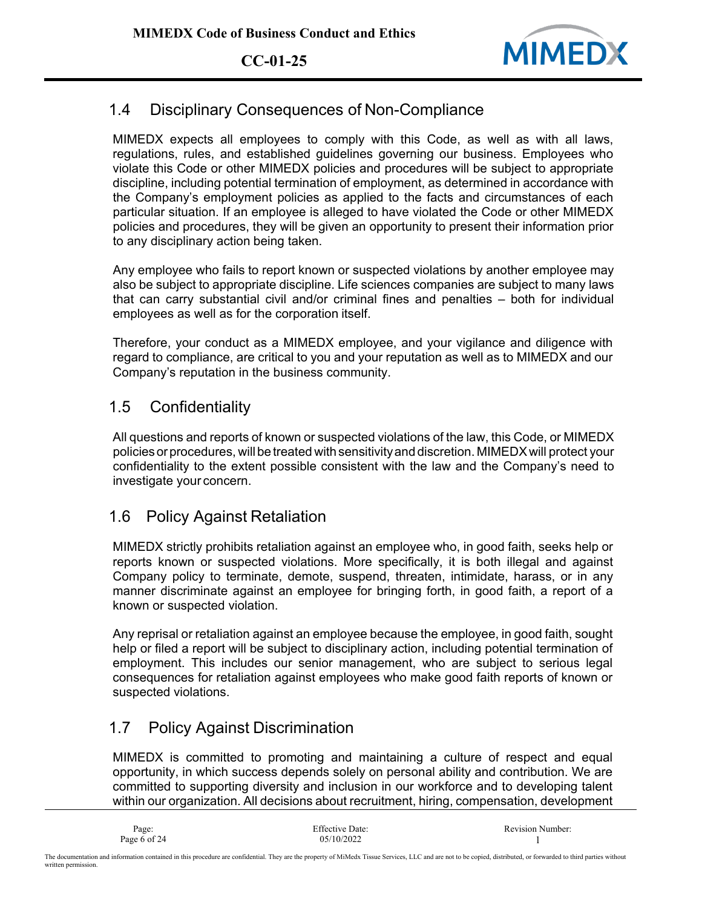

### 1.4 Disciplinary Consequences of Non-Compliance

MIMEDX expects all employees to comply with this Code, as well as with all laws, regulations, rules, and established guidelines governing our business. Employees who violate this Code or other MIMEDX policies and procedures will be subject to appropriate discipline, including potential termination of employment, as determined in accordance with the Company's employment policies as applied to the facts and circumstances of each particular situation. If an employee is alleged to have violated the Code or other MIMEDX policies and procedures, they will be given an opportunity to present their information prior to any disciplinary action being taken.

Any employee who fails to report known or suspected violations by another employee may also be subject to appropriate discipline. Life sciences companies are subject to many laws that can carry substantial civil and/or criminal fines and penalties – both for individual employees as well as for the corporation itself.

Therefore, your conduct as a MIMEDX employee, and your vigilance and diligence with regard to compliance, are critical to you and your reputation as well as to MIMEDX and our Company's reputation in the business community.

#### 1.5 Confidentiality

All questions and reports of known or suspected violations of the law, this Code, or MIMEDX policies or procedures, will be treated with sensitivity and discretion. MIMEDX will protect your confidentiality to the extent possible consistent with the law and the Company's need to investigate your concern.

#### 1.6 Policy Against Retaliation

MIMEDX strictly prohibits retaliation against an employee who, in good faith, seeks help or reports known or suspected violations. More specifically, it is both illegal and against Company policy to terminate, demote, suspend, threaten, intimidate, harass, or in any manner discriminate against an employee for bringing forth, in good faith, a report of a known or suspected violation.

Any reprisal or retaliation against an employee because the employee, in good faith, sought help or filed a report will be subject to disciplinary action, including potential termination of employment. This includes our senior management, who are subject to serious legal consequences for retaliation against employees who make good faith reports of known or suspected violations.

#### 1.7 Policy Against Discrimination

MIMEDX is committed to promoting and maintaining a culture of respect and equal opportunity, in which success depends solely on personal ability and contribution. We are committed to supporting diversity and inclusion in our workforce and to developing talent within our organization. All decisions about recruitment, hiring, compensation, development

| Page:        | <b>Effective Date:</b> | <b>Revision Number:</b> |
|--------------|------------------------|-------------------------|
| Page 6 of 24 | 05/10/2022             |                         |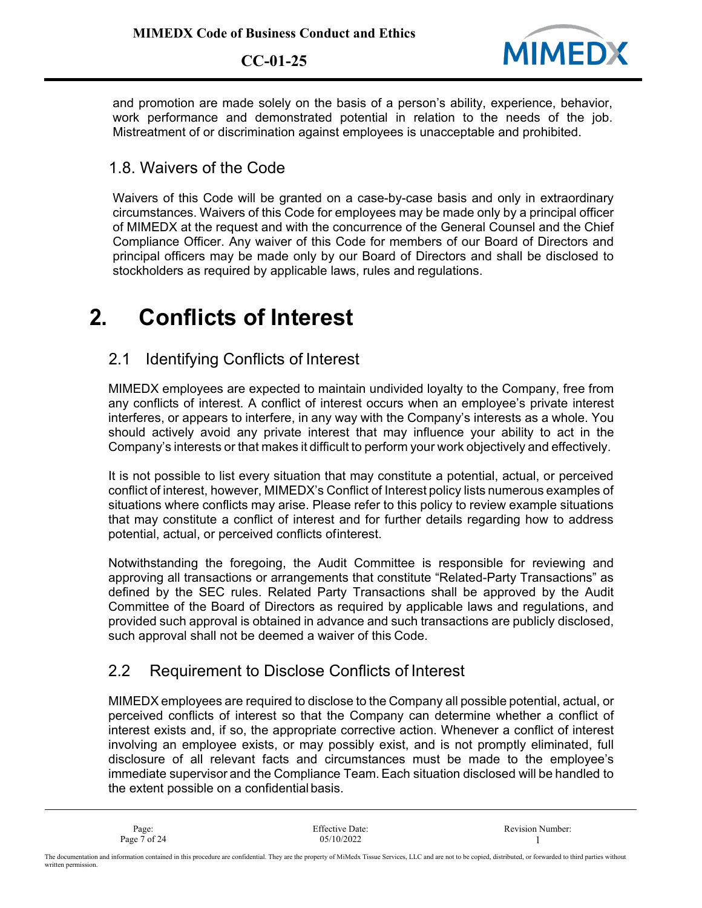

and promotion are made solely on the basis of a person's ability, experience, behavior, work performance and demonstrated potential in relation to the needs of the job. Mistreatment of or discrimination against employees is unacceptable and prohibited.

#### 1.8. Waivers of the Code

Waivers of this Code will be granted on a case-by-case basis and only in extraordinary circumstances. Waivers of this Code for employees may be made only by a principal officer of MIMEDX at the request and with the concurrence of the General Counsel and the Chief Compliance Officer. Any waiver of this Code for members of our Board of Directors and principal officers may be made only by our Board of Directors and shall be disclosed to stockholders as required by applicable laws, rules and regulations.

### **2. Conflicts of Interest**

#### 2.1 Identifying Conflicts of Interest

MIMEDX employees are expected to maintain undivided loyalty to the Company, free from any conflicts of interest. A conflict of interest occurs when an employee's private interest interferes, or appears to interfere, in any way with the Company's interests as a whole. You should actively avoid any private interest that may influence your ability to act in the Company's interests or that makes it difficult to perform your work objectively and effectively.

It is not possible to list every situation that may constitute a potential, actual, or perceived conflict of interest, however, MIMEDX's Conflict of Interest policy lists numerous examples of situations where conflicts may arise. Please refer to this policy to review example situations that may constitute a conflict of interest and for further details regarding how to address potential, actual, or perceived conflicts ofinterest.

Notwithstanding the foregoing, the Audit Committee is responsible for reviewing and approving all transactions or arrangements that constitute "Related-Party Transactions" as defined by the SEC rules. Related Party Transactions shall be approved by the Audit Committee of the Board of Directors as required by applicable laws and regulations, and provided such approval is obtained in advance and such transactions are publicly disclosed, such approval shall not be deemed a waiver of this Code.

#### 2.2 Requirement to Disclose Conflicts of Interest

MIMEDX employees are required to disclose to the Company all possible potential, actual, or perceived conflicts of interest so that the Company can determine whether a conflict of interest exists and, if so, the appropriate corrective action. Whenever a conflict of interest involving an employee exists, or may possibly exist, and is not promptly eliminated, full disclosure of all relevant facts and circumstances must be made to the employee's immediate supervisor and the Compliance Team. Each situation disclosed will be handled to the extent possible on a confidential basis.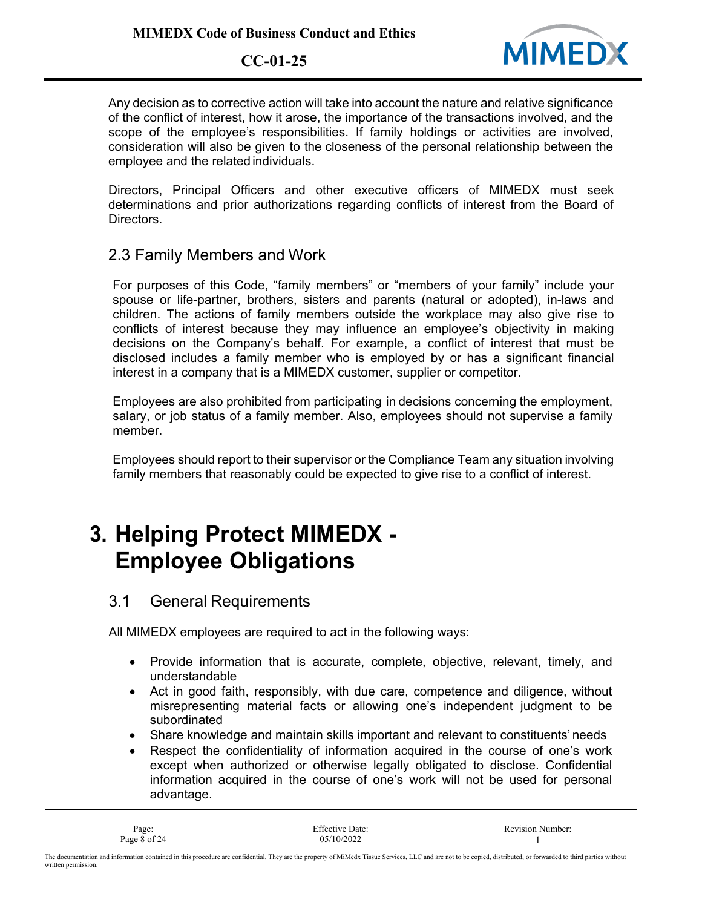

Any decision as to corrective action will take into account the nature and relative significance of the conflict of interest, how it arose, the importance of the transactions involved, and the scope of the employee's responsibilities. If family holdings or activities are involved, consideration will also be given to the closeness of the personal relationship between the employee and the related individuals.

Directors, Principal Officers and other executive officers of MIMEDX must seek determinations and prior authorizations regarding conflicts of interest from the Board of Directors.

2.3 Family Members and Work

For purposes of this Code, "family members" or "members of your family" include your spouse or life-partner, brothers, sisters and parents (natural or adopted), in-laws and children. The actions of family members outside the workplace may also give rise to conflicts of interest because they may influence an employee's objectivity in making decisions on the Company's behalf. For example, a conflict of interest that must be disclosed includes a family member who is employed by or has a significant financial interest in a company that is a MIMEDX customer, supplier or competitor.

Employees are also prohibited from participating in decisions concerning the employment, salary, or job status of a family member. Also, employees should not supervise a family member.

Employees should report to their supervisor or the Compliance Team any situation involving family members that reasonably could be expected to give rise to a conflict of interest.

# **3. Helping Protect MIMEDX - Employee Obligations**

#### 3.1 General Requirements

All MIMEDX employees are required to act in the following ways:

- Provide information that is accurate, complete, objective, relevant, timely, and understandable
- Act in good faith, responsibly, with due care, competence and diligence, without misrepresenting material facts or allowing one's independent judgment to be subordinated
- Share knowledge and maintain skills important and relevant to constituents' needs
- Respect the confidentiality of information acquired in the course of one's work except when authorized or otherwise legally obligated to disclose. Confidential information acquired in the course of one's work will not be used for personal advantage.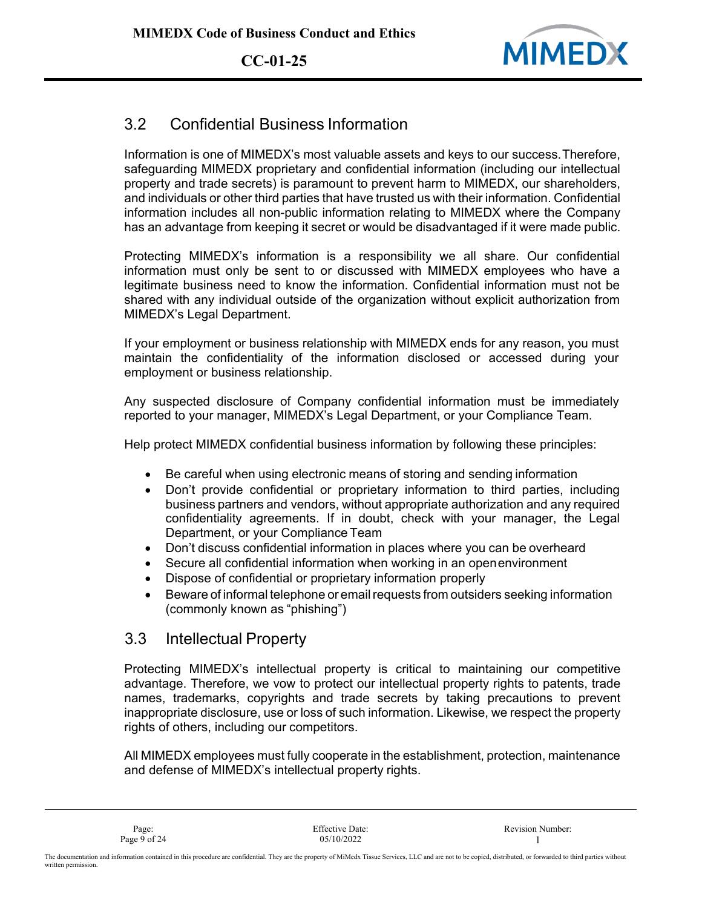

### 3.2 Confidential Business Information

Information is one of MIMEDX's most valuable assets and keys to our success.Therefore, safeguarding MIMEDX proprietary and confidential information (including our intellectual property and trade secrets) is paramount to prevent harm to MIMEDX, our shareholders, and individuals or other third parties that have trusted us with their information. Confidential information includes all non-public information relating to MIMEDX where the Company has an advantage from keeping it secret or would be disadvantaged if it were made public.

Protecting MIMEDX's information is a responsibility we all share. Our confidential information must only be sent to or discussed with MIMEDX employees who have a legitimate business need to know the information. Confidential information must not be shared with any individual outside of the organization without explicit authorization from MIMEDX's Legal Department.

If your employment or business relationship with MIMEDX ends for any reason, you must maintain the confidentiality of the information disclosed or accessed during your employment or business relationship.

Any suspected disclosure of Company confidential information must be immediately reported to your manager, MIMEDX's Legal Department, or your Compliance Team.

Help protect MIMEDX confidential business information by following these principles:

- Be careful when using electronic means of storing and sending information
- Don't provide confidential or proprietary information to third parties, including business partners and vendors, without appropriate authorization and any required confidentiality agreements. If in doubt, check with your manager, the Legal Department, or your Compliance Team
- Don't discuss confidential information in places where you can be overheard
- Secure all confidential information when working in an openenvironment
- Dispose of confidential or proprietary information properly
- Beware of informal telephone or email requests from outsiders seeking information (commonly known as "phishing")

#### 3.3 Intellectual Property

Protecting MIMEDX's intellectual property is critical to maintaining our competitive advantage. Therefore, we vow to protect our intellectual property rights to patents, trade names, trademarks, copyrights and trade secrets by taking precautions to prevent inappropriate disclosure, use or loss of such information. Likewise, we respect the property rights of others, including our competitors.

All MIMEDX employees must fully cooperate in the establishment, protection, maintenance and defense of MIMEDX's intellectual property rights.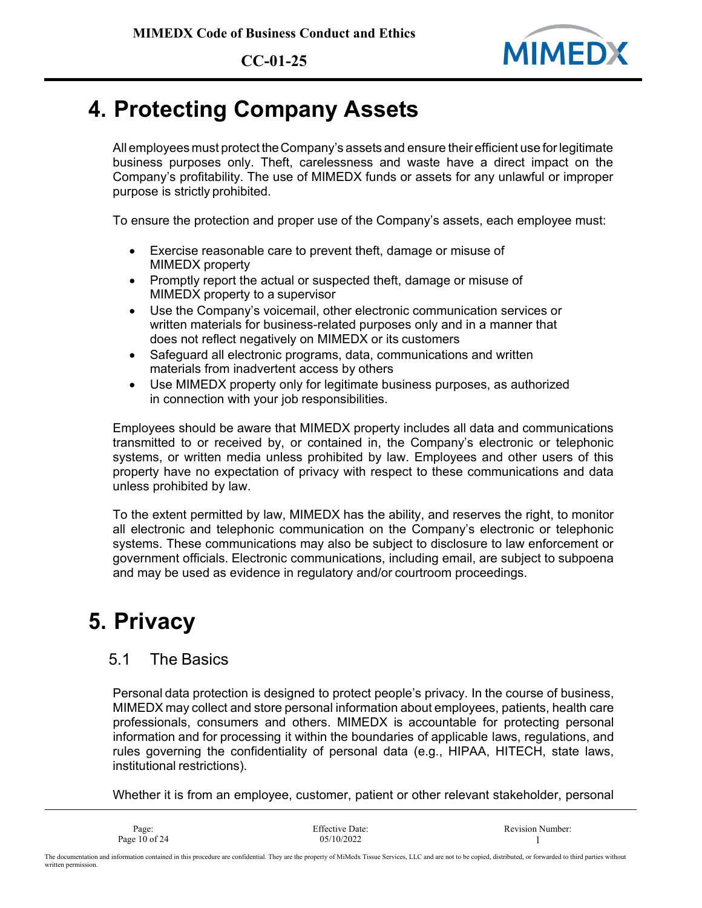

## **4. Protecting Company Assets**

All employees must protect theCompany's assets and ensure their efficient use forlegitimate business purposes only. Theft, carelessness and waste have a direct impact on the Company's profitability. The use of MIMEDX funds or assets for any unlawful or improper purpose is strictly prohibited.

To ensure the protection and proper use of the Company's assets, each employee must:

- Exercise reasonable care to prevent theft, damage or misuse of MIMEDX property
- Promptly report the actual or suspected theft, damage or misuse of MIMEDX property to a supervisor
- Use the Company's voicemail, other electronic communication services or written materials for business-related purposes only and in a manner that does not reflect negatively on MIMEDX or its customers
- Safeguard all electronic programs, data, communications and written materials from inadvertent access by others
- Use MIMEDX property only for legitimate business purposes, as authorized in connection with your job responsibilities.

Employees should be aware that MIMEDX property includes all data and communications transmitted to or received by, or contained in, the Company's electronic or telephonic systems, or written media unless prohibited by law. Employees and other users of this property have no expectation of privacy with respect to these communications and data unless prohibited by law.

To the extent permitted by law, MIMEDX has the ability, and reserves the right, to monitor all electronic and telephonic communication on the Company's electronic or telephonic systems. These communications may also be subject to disclosure to law enforcement or government officials. Electronic communications, including email, are subject to subpoena and may be used as evidence in regulatory and/or courtroom proceedings.

## **5. Privacy**

written permission.

#### 5.1 The Basics

Personal data protection is designed to protect people's privacy. In the course of business, MIMEDX may collect and store personal information about employees, patients, health care professionals, consumers and others. MIMEDX is accountable for protecting personal information and for processing it within the boundaries of applicable laws, regulations, and rules governing the confidentiality of personal data (e.g., HIPAA, HITECH, state laws, institutional restrictions).

Whether it is from an employee, customer, patient or other relevant stakeholder, personal

| Page:                                                                                                                                                                                                             | Effective Date: | <b>Revision Number:</b> |
|-------------------------------------------------------------------------------------------------------------------------------------------------------------------------------------------------------------------|-----------------|-------------------------|
| Page $10$ of 24                                                                                                                                                                                                   | 05/10/2022      |                         |
| The documentation and information contained in this procedure are confidential. They are the property of MiMedx Tissue Services, LLC and are not to be copied, distributed, or forwarded to third parties without |                 |                         |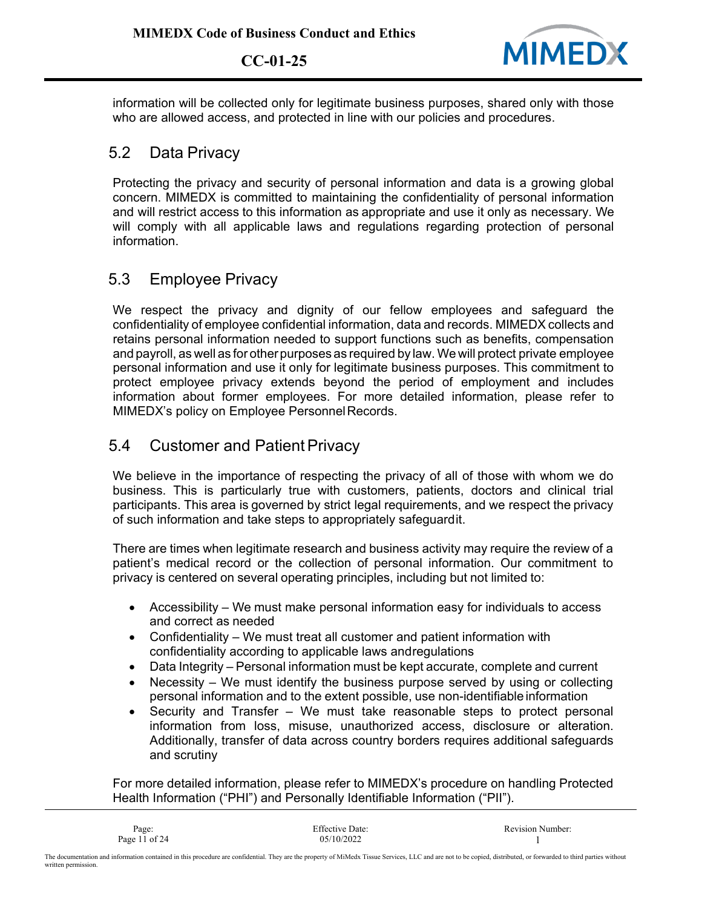

information will be collected only for legitimate business purposes, shared only with those who are allowed access, and protected in line with our policies and procedures.

#### 5.2 Data Privacy

Protecting the privacy and security of personal information and data is a growing global concern. MIMEDX is committed to maintaining the confidentiality of personal information and will restrict access to this information as appropriate and use it only as necessary. We will comply with all applicable laws and regulations regarding protection of personal information.

### 5.3 Employee Privacy

We respect the privacy and dignity of our fellow employees and safeguard the confidentiality of employee confidential information, data and records. MIMEDX collects and retains personal information needed to support functions such as benefits, compensation and payroll, as well as for other purposes as required by law. We will protect private employee personal information and use it only for legitimate business purposes. This commitment to protect employee privacy extends beyond the period of employment and includes information about former employees. For more detailed information, please refer to MIMEDX's policy on Employee Personnel Records.

#### 5.4 Customer and Patient Privacy

We believe in the importance of respecting the privacy of all of those with whom we do business. This is particularly true with customers, patients, doctors and clinical trial participants. This area is governed by strict legal requirements, and we respect the privacy of such information and take steps to appropriately safeguardit.

There are times when legitimate research and business activity may require the review of a patient's medical record or the collection of personal information. Our commitment to privacy is centered on several operating principles, including but not limited to:

- Accessibility We must make personal information easy for individuals to access and correct as needed
- Confidentiality We must treat all customer and patient information with confidentiality according to applicable laws andregulations
- Data Integrity Personal information must be kept accurate, complete and current
- Necessity  $-$  We must identify the business purpose served by using or collecting personal information and to the extent possible, use non-identifiable information
- Security and Transfer We must take reasonable steps to protect personal information from loss, misuse, unauthorized access, disclosure or alteration. Additionally, transfer of data across country borders requires additional safeguards and scrutiny

For more detailed information, please refer to MIMEDX's procedure on handling Protected Health Information ("PHI") and Personally Identifiable Information ("PII").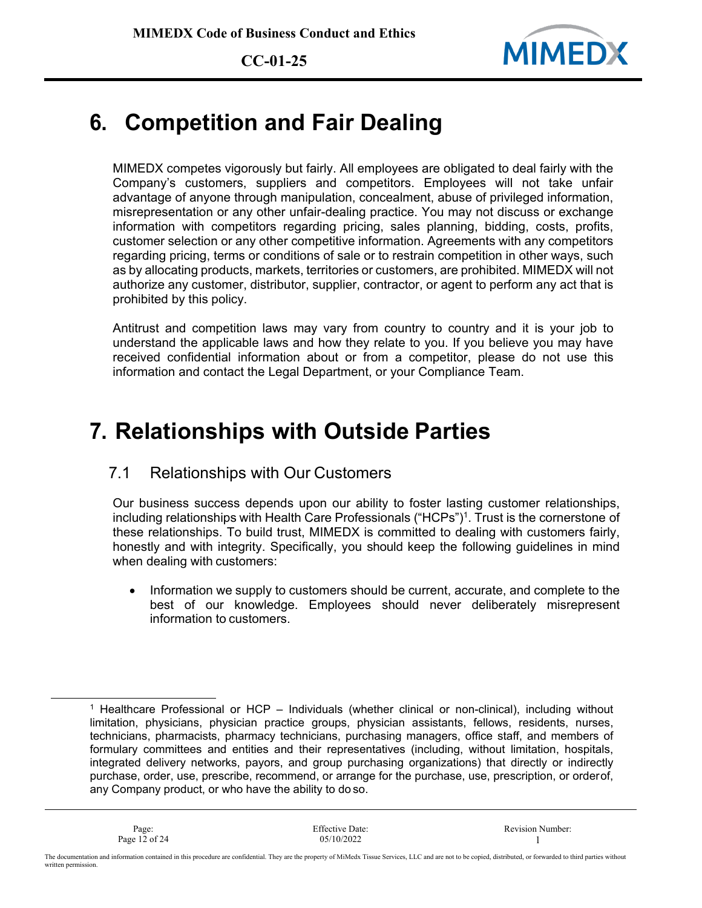

## **6. Competition and Fair Dealing**

MIMEDX competes vigorously but fairly. All employees are obligated to deal fairly with the Company's customers, suppliers and competitors. Employees will not take unfair advantage of anyone through manipulation, concealment, abuse of privileged information, misrepresentation or any other unfair-dealing practice. You may not discuss or exchange information with competitors regarding pricing, sales planning, bidding, costs, profits, customer selection or any other competitive information. Agreements with any competitors regarding pricing, terms or conditions of sale or to restrain competition in other ways, such as by allocating products, markets, territories or customers, are prohibited. MIMEDX will not authorize any customer, distributor, supplier, contractor, or agent to perform any act that is prohibited by this policy.

Antitrust and competition laws may vary from country to country and it is your job to understand the applicable laws and how they relate to you. If you believe you may have received confidential information about or from a competitor, please do not use this information and contact the Legal Department, or your Compliance Team.

### **7. Relationships with Outside Parties**

#### 7.1 Relationships with Our Customers

Our business success depends upon our ability to foster lasting customer relationships, including relationships with Health Care Professionals ("HCPs")1. Trust is the cornerstone of these relationships. To build trust, MIMEDX is committed to dealing with customers fairly, honestly and with integrity. Specifically, you should keep the following guidelines in mind when dealing with customers:

• Information we supply to customers should be current, accurate, and complete to the best of our knowledge. Employees should never deliberately misrepresent information to customers.

<sup>&</sup>lt;sup>1</sup> Healthcare Professional or HCP – Individuals (whether clinical or non-clinical), including without limitation, physicians, physician practice groups, physician assistants, fellows, residents, nurses, technicians, pharmacists, pharmacy technicians, purchasing managers, office staff, and members of formulary committees and entities and their representatives (including, without limitation, hospitals, integrated delivery networks, payors, and group purchasing organizations) that directly or indirectly purchase, order, use, prescribe, recommend, or arrange for the purchase, use, prescription, or orderof, any Company product, or who have the ability to do so.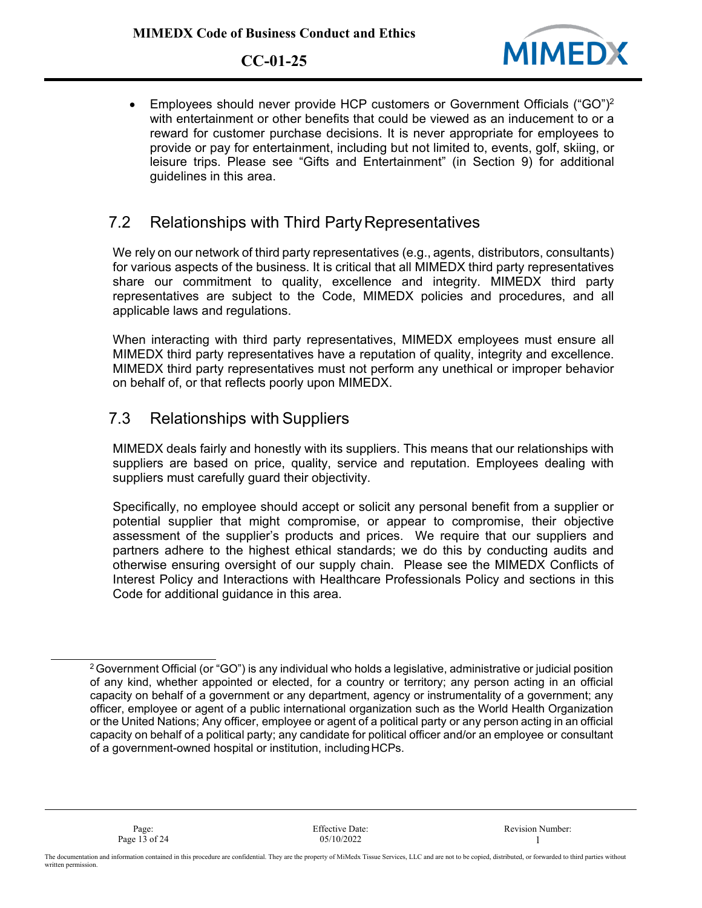

• Employees should never provide HCP customers or Government Officials ("GO")<sup>2</sup> with entertainment or other benefits that could be viewed as an inducement to or a reward for customer purchase decisions. It is never appropriate for employees to provide or pay for entertainment, including but not limited to, events, golf, skiing, or leisure trips. Please see "Gifts and Entertainment" (in Section 9) for additional guidelines in this area.

#### 7.2 Relationships with Third PartyRepresentatives

We rely on our network of third party representatives (e.g., agents, distributors, consultants) for various aspects of the business. It is critical that all MIMEDX third party representatives share our commitment to quality, excellence and integrity. MIMEDX third party representatives are subject to the Code, MIMEDX policies and procedures, and all applicable laws and regulations.

When interacting with third party representatives, MIMEDX employees must ensure all MIMEDX third party representatives have a reputation of quality, integrity and excellence. MIMEDX third party representatives must not perform any unethical or improper behavior on behalf of, or that reflects poorly upon MIMEDX.

#### 7.3 Relationships with Suppliers

MIMEDX deals fairly and honestly with its suppliers. This means that our relationships with suppliers are based on price, quality, service and reputation. Employees dealing with suppliers must carefully guard their objectivity.

Specifically, no employee should accept or solicit any personal benefit from a supplier or potential supplier that might compromise, or appear to compromise, their objective assessment of the supplier's products and prices. We require that our suppliers and partners adhere to the highest ethical standards; we do this by conducting audits and otherwise ensuring oversight of our supply chain. Please see the MIMEDX Conflicts of Interest Policy and Interactions with Healthcare Professionals Policy and sections in this Code for additional guidance in this area.

<sup>&</sup>lt;sup>2</sup> Government Official (or "GO") is any individual who holds a legislative, administrative or judicial position of any kind, whether appointed or elected, for a country or territory; any person acting in an official capacity on behalf of a government or any department, agency or instrumentality of a government; any officer, employee or agent of a public international organization such as the World Health Organization or the United Nations; Any officer, employee or agent of a political party or any person acting in an official capacity on behalf of a political party; any candidate for political officer and/or an employee or consultant of a government-owned hospital or institution, includingHCPs.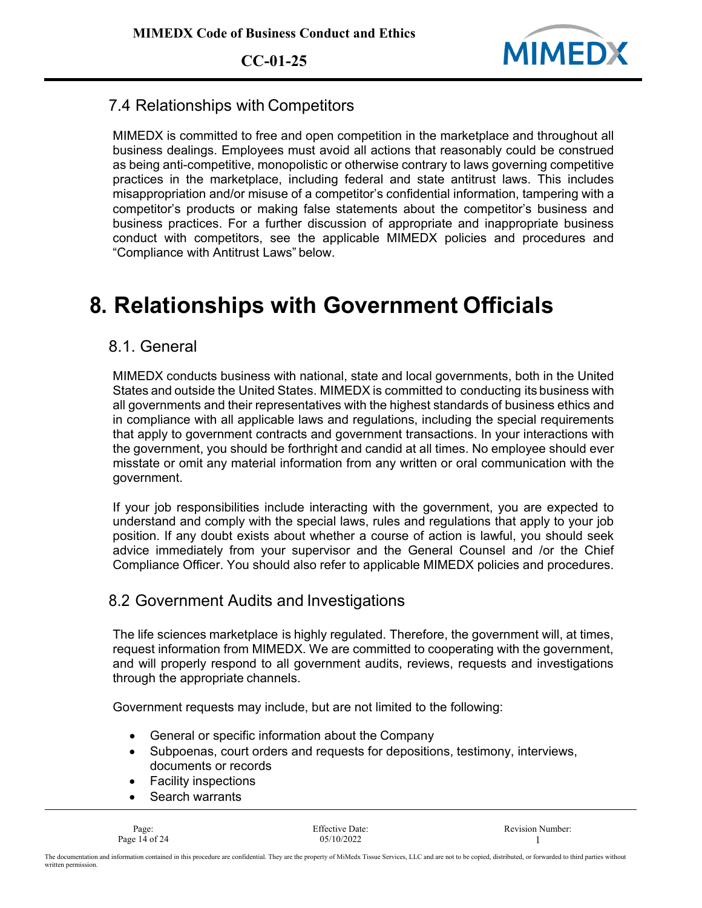

#### 7.4 Relationships with Competitors

MIMEDX is committed to free and open competition in the marketplace and throughout all business dealings. Employees must avoid all actions that reasonably could be construed as being anti-competitive, monopolistic or otherwise contrary to laws governing competitive practices in the marketplace, including federal and state antitrust laws. This includes misappropriation and/or misuse of a competitor's confidential information, tampering with a competitor's products or making false statements about the competitor's business and business practices. For a further discussion of appropriate and inappropriate business conduct with competitors, see the applicable MIMEDX policies and procedures and "Compliance with Antitrust Laws" below.

# **8. Relationships with Government Officials**

#### 8.1. General

MIMEDX conducts business with national, state and local governments, both in the United States and outside the United States. MIMEDX is committed to conducting its business with all governments and their representatives with the highest standards of business ethics and in compliance with all applicable laws and regulations, including the special requirements that apply to government contracts and government transactions. In your interactions with the government, you should be forthright and candid at all times. No employee should ever misstate or omit any material information from any written or oral communication with the government.

If your job responsibilities include interacting with the government, you are expected to understand and comply with the special laws, rules and regulations that apply to your job position. If any doubt exists about whether a course of action is lawful, you should seek advice immediately from your supervisor and the General Counsel and /or the Chief Compliance Officer. You should also refer to applicable MIMEDX policies and procedures.

#### 8.2 Government Audits and Investigations

The life sciences marketplace is highly regulated. Therefore, the government will, at times, request information from MIMEDX. We are committed to cooperating with the government, and will properly respond to all government audits, reviews, requests and investigations through the appropriate channels.

Government requests may include, but are not limited to the following:

- General or specific information about the Company
- Subpoenas, court orders and requests for depositions, testimony, interviews, documents or records
- Facility inspections
- Search warrants

Page 14 of 24 05/10/2022 1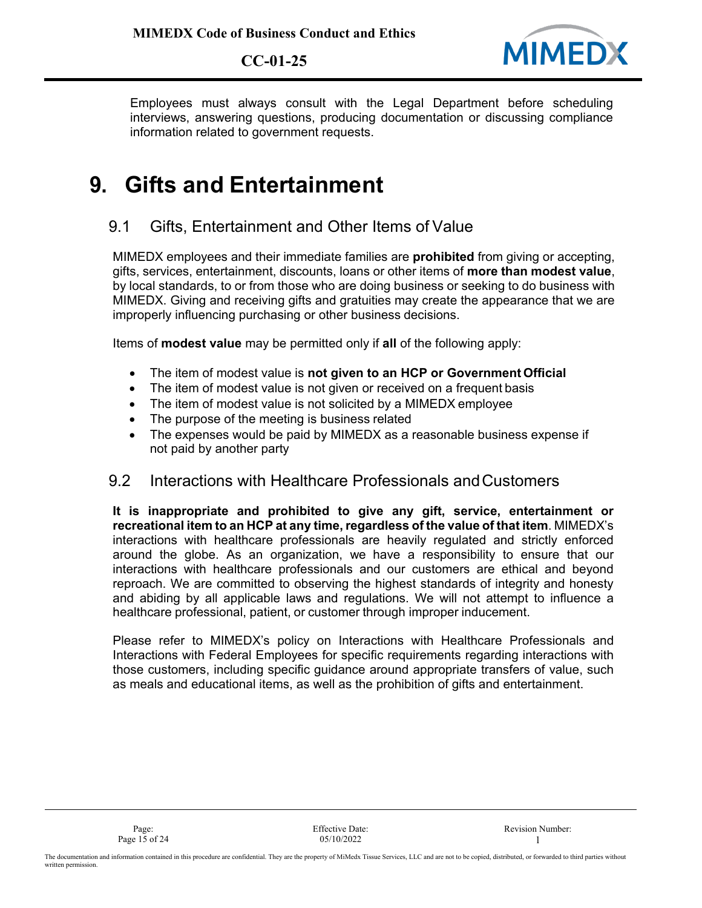

Employees must always consult with the Legal Department before scheduling interviews, answering questions, producing documentation or discussing compliance information related to government requests.

### **9. Gifts and Entertainment**

#### 9.1 Gifts, Entertainment and Other Items of Value

MIMEDX employees and their immediate families are **prohibited** from giving or accepting, gifts, services, entertainment, discounts, loans or other items of **more than modest value**, by local standards, to or from those who are doing business or seeking to do business with MIMEDX. Giving and receiving gifts and gratuities may create the appearance that we are improperly influencing purchasing or other business decisions.

Items of **modest value** may be permitted only if **all** of the following apply:

- The item of modest value is **not given to an HCP or Government Official**
- The item of modest value is not given or received on a frequent basis
- The item of modest value is not solicited by a MIMEDX employee
- The purpose of the meeting is business related
- The expenses would be paid by MIMEDX as a reasonable business expense if not paid by another party

#### 9.2 Interactions with Healthcare Professionals andCustomers

**It is inappropriate and prohibited to give any gift, service, entertainment or recreational item to an HCP at any time, regardless of the value of that item. MIMEDX's** interactions with healthcare professionals are heavily regulated and strictly enforced around the globe. As an organization, we have a responsibility to ensure that our interactions with healthcare professionals and our customers are ethical and beyond reproach. We are committed to observing the highest standards of integrity and honesty and abiding by all applicable laws and regulations. We will not attempt to influence a healthcare professional, patient, or customer through improper inducement.

Please refer to MIMEDX's policy on Interactions with Healthcare Professionals and Interactions with Federal Employees for specific requirements regarding interactions with those customers, including specific guidance around appropriate transfers of value, such as meals and educational items, as well as the prohibition of gifts and entertainment.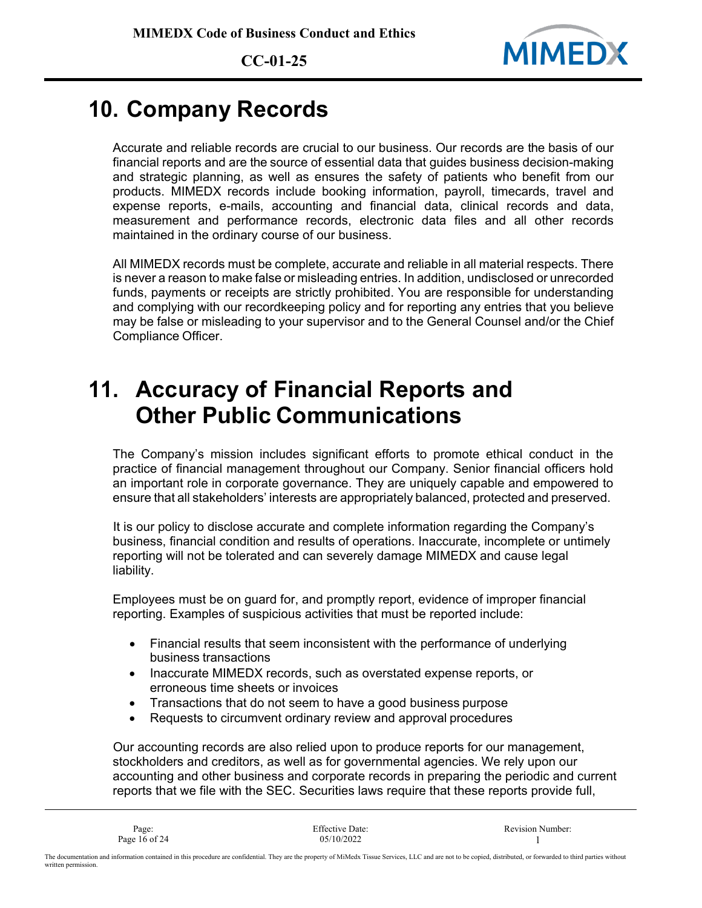

### **10. Company Records**

Accurate and reliable records are crucial to our business. Our records are the basis of our financial reports and are the source of essential data that guides business decision-making and strategic planning, as well as ensures the safety of patients who benefit from our products. MIMEDX records include booking information, payroll, timecards, travel and expense reports, e-mails, accounting and financial data, clinical records and data, measurement and performance records, electronic data files and all other records maintained in the ordinary course of our business.

All MIMEDX records must be complete, accurate and reliable in all material respects. There is never a reason to make false or misleading entries. In addition, undisclosed or unrecorded funds, payments or receipts are strictly prohibited. You are responsible for understanding and complying with our recordkeeping policy and for reporting any entries that you believe may be false or misleading to your supervisor and to the General Counsel and/or the Chief Compliance Officer.

### **11. Accuracy of Financial Reports and Other Public Communications**

The Company's mission includes significant efforts to promote ethical conduct in the practice of financial management throughout our Company. Senior financial officers hold an important role in corporate governance. They are uniquely capable and empowered to ensure that all stakeholders' interests are appropriately balanced, protected and preserved.

It is our policy to disclose accurate and complete information regarding the Company's business, financial condition and results of operations. Inaccurate, incomplete or untimely reporting will not be tolerated and can severely damage MIMEDX and cause legal liability.

Employees must be on guard for, and promptly report, evidence of improper financial reporting. Examples of suspicious activities that must be reported include:

- Financial results that seem inconsistent with the performance of underlying business transactions
- Inaccurate MIMEDX records, such as overstated expense reports, or erroneous time sheets or invoices
- Transactions that do not seem to have a good business purpose
- Requests to circumvent ordinary review and approval procedures

Our accounting records are also relied upon to produce reports for our management, stockholders and creditors, as well as for governmental agencies. We rely upon our accounting and other business and corporate records in preparing the periodic and current reports that we file with the SEC. Securities laws require that these reports provide full,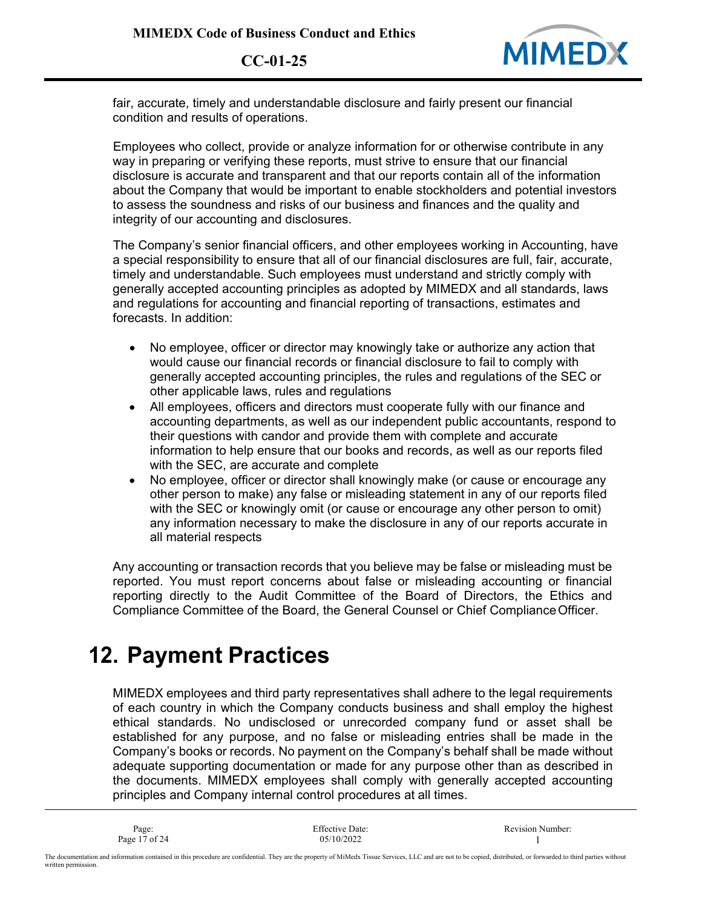

fair, accurate, timely and understandable disclosure and fairly present our financial condition and results of operations.

Employees who collect, provide or analyze information for or otherwise contribute in any way in preparing or verifying these reports, must strive to ensure that our financial disclosure is accurate and transparent and that our reports contain all of the information about the Company that would be important to enable stockholders and potential investors to assess the soundness and risks of our business and finances and the quality and integrity of our accounting and disclosures.

The Company's senior financial officers, and other employees working in Accounting, have a special responsibility to ensure that all of our financial disclosures are full, fair, accurate, timely and understandable. Such employees must understand and strictly comply with generally accepted accounting principles as adopted by MIMEDX and all standards, laws and regulations for accounting and financial reporting of transactions, estimates and forecasts. In addition:

- No employee, officer or director may knowingly take or authorize any action that would cause our financial records or financial disclosure to fail to comply with generally accepted accounting principles, the rules and regulations of the SEC or other applicable laws, rules and regulations
- All employees, officers and directors must cooperate fully with our finance and accounting departments, as well as our independent public accountants, respond to their questions with candor and provide them with complete and accurate information to help ensure that our books and records, as well as our reports filed with the SEC, are accurate and complete
- No employee, officer or director shall knowingly make (or cause or encourage any other person to make) any false or misleading statement in any of our reports filed with the SEC or knowingly omit (or cause or encourage any other person to omit) any information necessary to make the disclosure in any of our reports accurate in all material respects

Any accounting or transaction records that you believe may be false or misleading must be reported. You must report concerns about false or misleading accounting or financial reporting directly to the Audit Committee of the Board of Directors, the Ethics and Compliance Committee of the Board, the General Counsel or Chief ComplianceOfficer.

## **12. Payment Practices**

MIMEDX employees and third party representatives shall adhere to the legal requirements of each country in which the Company conducts business and shall employ the highest ethical standards. No undisclosed or unrecorded company fund or asset shall be established for any purpose, and no false or misleading entries shall be made in the Company's books or records. No payment on the Company's behalf shall be made without adequate supporting documentation or made for any purpose other than as described in the documents. MIMEDX employees shall comply with generally accepted accounting principles and Company internal control procedures at all times.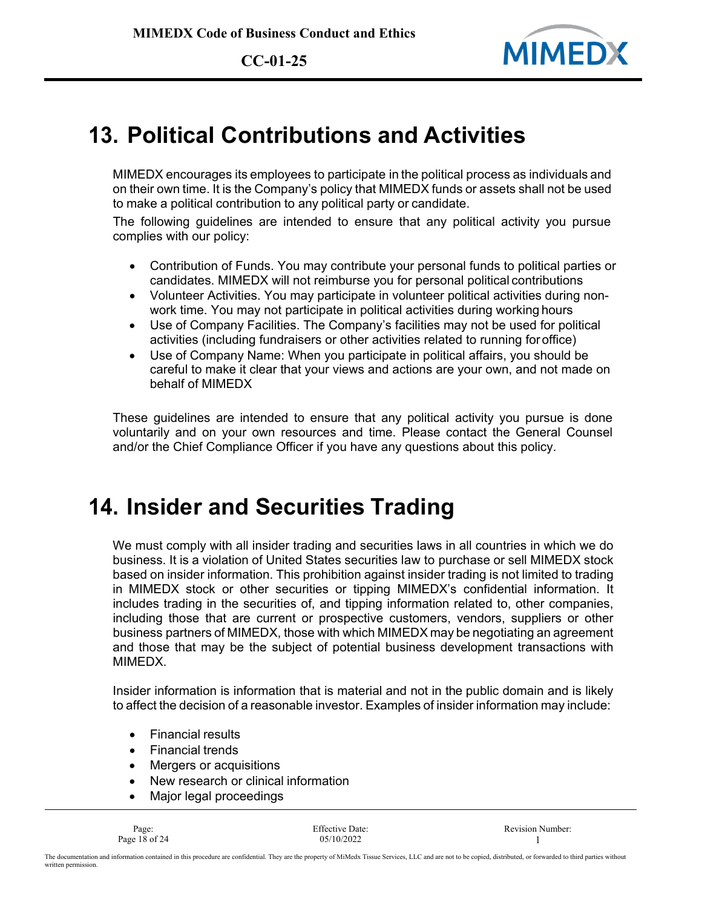

### **13. Political Contributions and Activities**

MIMEDX encourages its employees to participate in the political process as individuals and on their own time. It is the Company's policy that MIMEDX funds or assets shall not be used to make a political contribution to any political party or candidate.

The following guidelines are intended to ensure that any political activity you pursue complies with our policy:

- Contribution of Funds. You may contribute your personal funds to political parties or candidates. MIMEDX will not reimburse you for personal political contributions
- Volunteer Activities. You may participate in volunteer political activities during nonwork time. You may not participate in political activities during working hours
- Use of Company Facilities. The Company's facilities may not be used for political activities (including fundraisers or other activities related to running foroffice)
- Use of Company Name: When you participate in political affairs, you should be careful to make it clear that your views and actions are your own, and not made on behalf of MIMEDX

These guidelines are intended to ensure that any political activity you pursue is done voluntarily and on your own resources and time. Please contact the General Counsel and/or the Chief Compliance Officer if you have any questions about this policy.

## **14. Insider and Securities Trading**

We must comply with all insider trading and securities laws in all countries in which we do business. It is a violation of United States securities law to purchase or sell MIMEDX stock based on insider information. This prohibition against insider trading is not limited to trading in MIMEDX stock or other securities or tipping MIMEDX's confidential information. It includes trading in the securities of, and tipping information related to, other companies, including those that are current or prospective customers, vendors, suppliers or other business partners of MIMEDX, those with which MIMEDX may be negotiating an agreement and those that may be the subject of potential business development transactions with MIMEDX.

Insider information is information that is material and not in the public domain and is likely to affect the decision of a reasonable investor. Examples of insider information may include:

- Financial results
- Financial trends
- Mergers or acquisitions
- New research or clinical information
- Major legal proceedings

Page 18 of 24 05/10/2022 1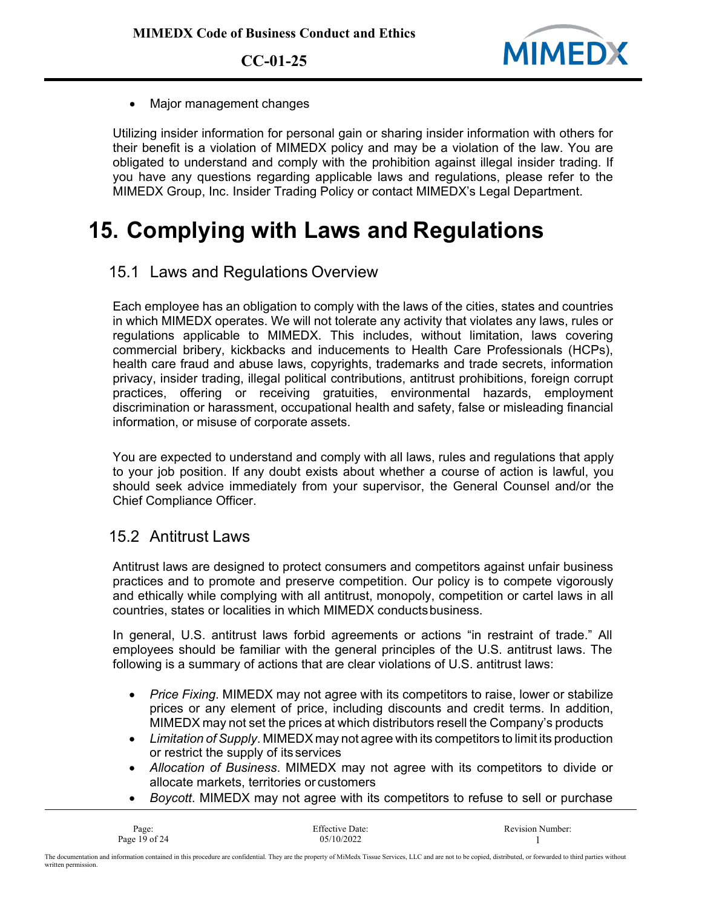

• Major management changes

Utilizing insider information for personal gain or sharing insider information with others for their benefit is a violation of MIMEDX policy and may be a violation of the law. You are obligated to understand and comply with the prohibition against illegal insider trading. If you have any questions regarding applicable laws and regulations, please refer to the MIMEDX Group, Inc. Insider Trading Policy or contact MIMEDX's Legal Department.

# **15. Complying with Laws and Regulations**

15.1 Laws and Regulations Overview

Each employee has an obligation to comply with the laws of the cities, states and countries in which MIMEDX operates. We will not tolerate any activity that violates any laws, rules or regulations applicable to MIMEDX. This includes, without limitation, laws covering commercial bribery, kickbacks and inducements to Health Care Professionals (HCPs), health care fraud and abuse laws, copyrights, trademarks and trade secrets, information privacy, insider trading, illegal political contributions, antitrust prohibitions, foreign corrupt practices, offering or receiving gratuities, environmental hazards, employment discrimination or harassment, occupational health and safety, false or misleading financial information, or misuse of corporate assets.

You are expected to understand and comply with all laws, rules and regulations that apply to your job position. If any doubt exists about whether a course of action is lawful, you should seek advice immediately from your supervisor, the General Counsel and/or the Chief Compliance Officer.

#### 15.2 Antitrust Laws

Antitrust laws are designed to protect consumers and competitors against unfair business practices and to promote and preserve competition. Our policy is to compete vigorously and ethically while complying with all antitrust, monopoly, competition or cartel laws in all countries, states or localities in which MIMEDX conducts business.

In general, U.S. antitrust laws forbid agreements or actions "in restraint of trade." All employees should be familiar with the general principles of the U.S. antitrust laws. The following is a summary of actions that are clear violations of U.S. antitrust laws:

- *Price Fixing*. MIMEDX may not agree with its competitors to raise, lower or stabilize prices or any element of price, including discounts and credit terms. In addition, MIMEDX may not set the prices at which distributors resell the Company's products
- *Limitation of Supply*. MIMEDX may not agree with its competitors to limit its production or restrict the supply of its services
- *Allocation of Business*. MIMEDX may not agree with its competitors to divide or allocate markets, territories or customers
- *Boycott*. MIMEDX may not agree with its competitors to refuse to sell or purchase

| Page:           | <b>Effective Date:</b> | <b>Revision Number:</b> |
|-----------------|------------------------|-------------------------|
| Page 19 of $24$ | 05/10/2022             |                         |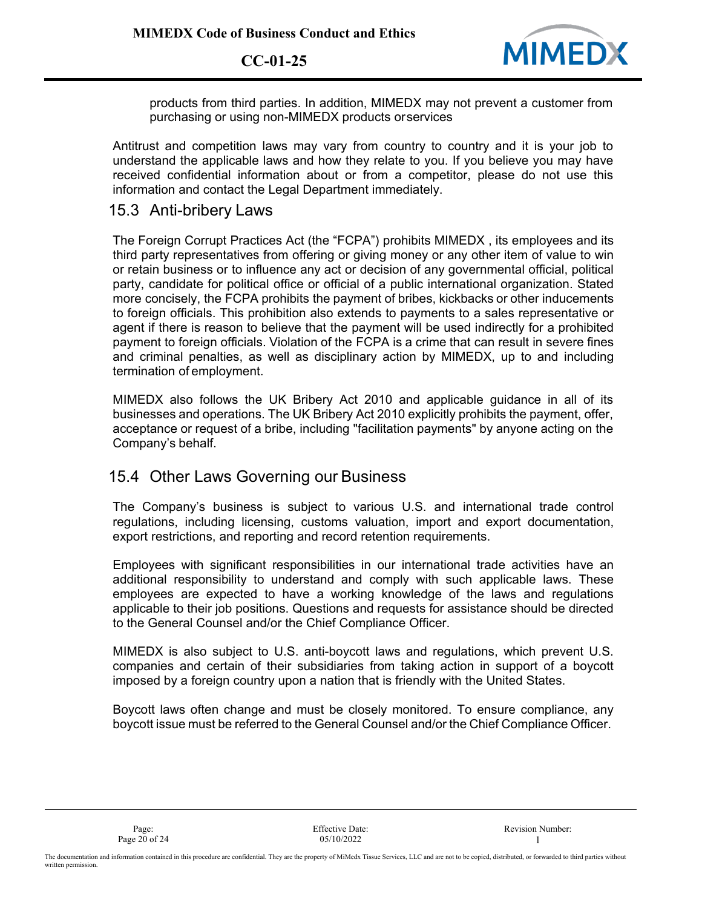

products from third parties. In addition, MIMEDX may not prevent a customer from purchasing or using non-MIMEDX products orservices

Antitrust and competition laws may vary from country to country and it is your job to understand the applicable laws and how they relate to you. If you believe you may have received confidential information about or from a competitor, please do not use this information and contact the Legal Department immediately.

#### 15.3 Anti-bribery Laws

The Foreign Corrupt Practices Act (the "FCPA") prohibits MIMEDX , its employees and its third party representatives from offering or giving money or any other item of value to win or retain business or to influence any act or decision of any governmental official, political party, candidate for political office or official of a public international organization. Stated more concisely, the FCPA prohibits the payment of bribes, kickbacks or other inducements to foreign officials. This prohibition also extends to payments to a sales representative or agent if there is reason to believe that the payment will be used indirectly for a prohibited payment to foreign officials. Violation of the FCPA is a crime that can result in severe fines and criminal penalties, as well as disciplinary action by MIMEDX, up to and including termination of employment.

MIMEDX also follows the UK Bribery Act 2010 and applicable guidance in all of its businesses and operations. The UK Bribery Act 2010 explicitly prohibits the payment, offer, acceptance or request of a bribe, including "facilitation payments" by anyone acting on the Company's behalf.

#### 15.4 Other Laws Governing our Business

The Company's business is subject to various U.S. and international trade control regulations, including licensing, customs valuation, import and export documentation, export restrictions, and reporting and record retention requirements.

Employees with significant responsibilities in our international trade activities have an additional responsibility to understand and comply with such applicable laws. These employees are expected to have a working knowledge of the laws and regulations applicable to their job positions. Questions and requests for assistance should be directed to the General Counsel and/or the Chief Compliance Officer.

MIMEDX is also subject to U.S. anti-boycott laws and regulations, which prevent U.S. companies and certain of their subsidiaries from taking action in support of a boycott imposed by a foreign country upon a nation that is friendly with the United States.

Boycott laws often change and must be closely monitored. To ensure compliance, any boycott issue must be referred to the General Counsel and/or the Chief Compliance Officer.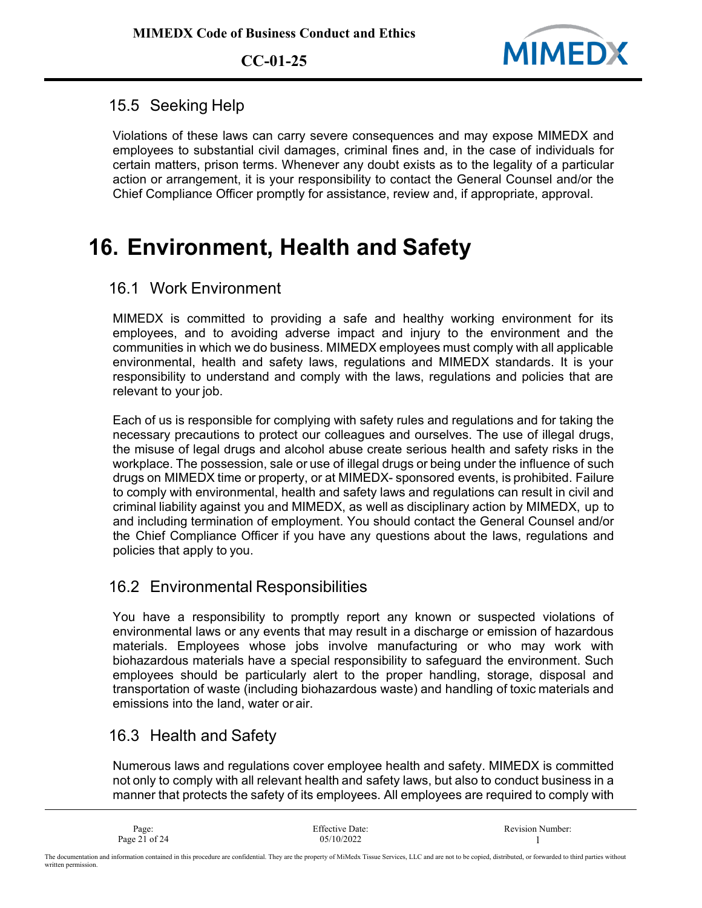

#### 15.5 Seeking Help

Violations of these laws can carry severe consequences and may expose MIMEDX and employees to substantial civil damages, criminal fines and, in the case of individuals for certain matters, prison terms. Whenever any doubt exists as to the legality of a particular action or arrangement, it is your responsibility to contact the General Counsel and/or the Chief Compliance Officer promptly for assistance, review and, if appropriate, approval.

# **16. Environment, Health and Safety**

### 16.1 Work Environment

MIMEDX is committed to providing a safe and healthy working environment for its employees, and to avoiding adverse impact and injury to the environment and the communities in which we do business. MIMEDX employees must comply with all applicable environmental, health and safety laws, regulations and MIMEDX standards. It is your responsibility to understand and comply with the laws, regulations and policies that are relevant to your job.

Each of us is responsible for complying with safety rules and regulations and for taking the necessary precautions to protect our colleagues and ourselves. The use of illegal drugs, the misuse of legal drugs and alcohol abuse create serious health and safety risks in the workplace. The possession, sale or use of illegal drugs or being under the influence of such drugs on MIMEDX time or property, or at MIMEDX- sponsored events, is prohibited. Failure to comply with environmental, health and safety laws and regulations can result in civil and criminal liability against you and MIMEDX, as well as disciplinary action by MIMEDX, up to and including termination of employment. You should contact the General Counsel and/or the Chief Compliance Officer if you have any questions about the laws, regulations and policies that apply to you.

#### 16.2 Environmental Responsibilities

You have a responsibility to promptly report any known or suspected violations of environmental laws or any events that may result in a discharge or emission of hazardous materials. Employees whose jobs involve manufacturing or who may work with biohazardous materials have a special responsibility to safeguard the environment. Such employees should be particularly alert to the proper handling, storage, disposal and transportation of waste (including biohazardous waste) and handling of toxic materials and emissions into the land, water or air.

### 16.3 Health and Safety

Numerous laws and regulations cover employee health and safety. MIMEDX is committed not only to comply with all relevant health and safety laws, but also to conduct business in a manner that protects the safety of its employees. All employees are required to comply with

| Page:         | Effective Date: | <b>Revision Number:</b> |
|---------------|-----------------|-------------------------|
| Page 21 of 24 | 05/10/2022      |                         |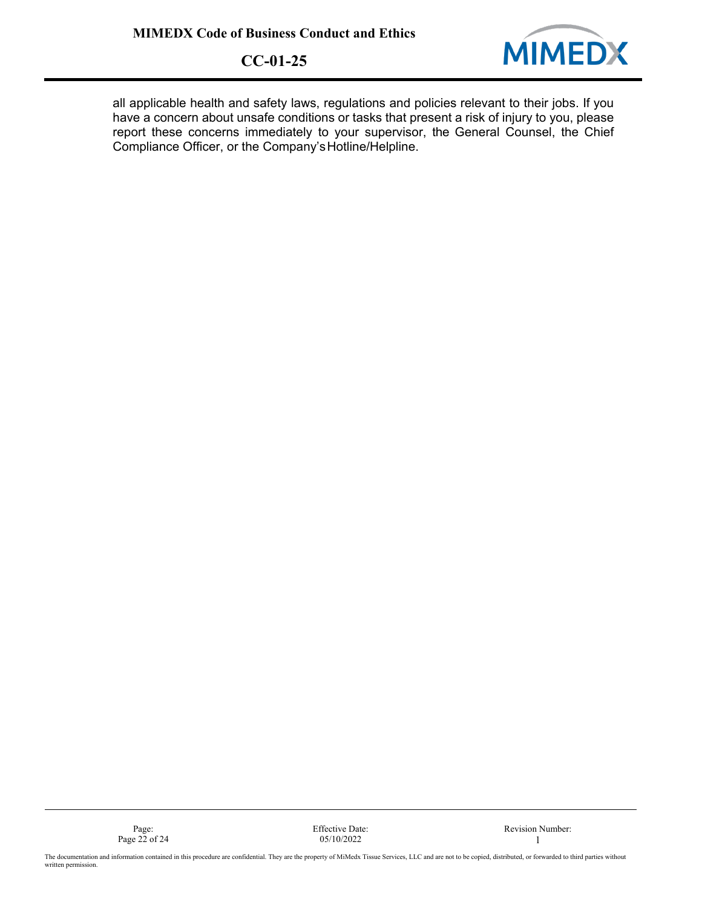

all applicable health and safety laws, regulations and policies relevant to their jobs. If you have a concern about unsafe conditions or tasks that present a risk of injury to you, please report these concerns immediately to your supervisor, the General Counsel, the Chief Compliance Officer, or the Company'sHotline/Helpline.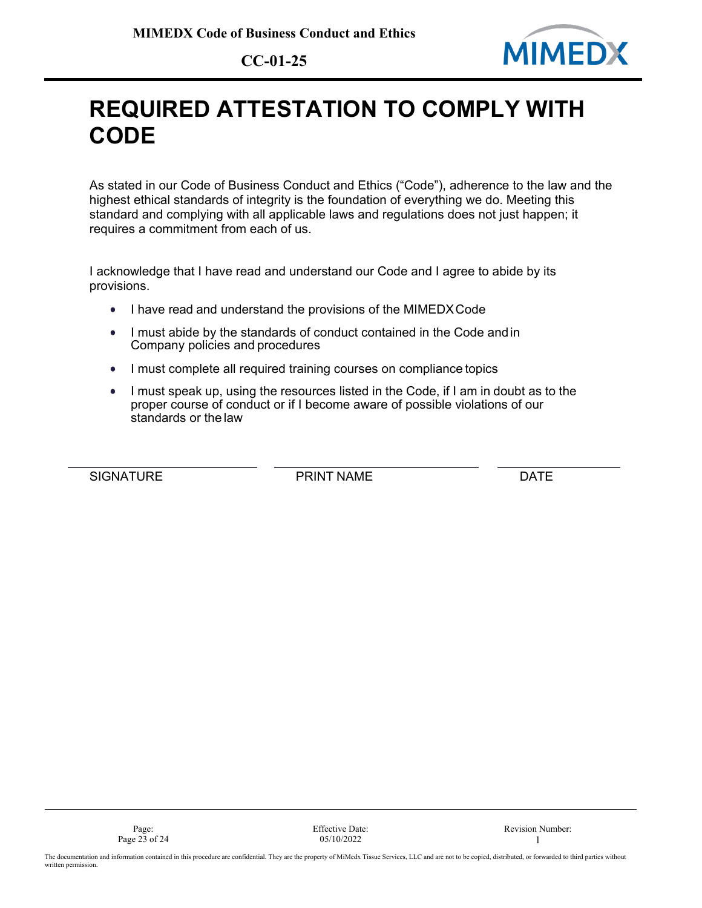

# **REQUIRED ATTESTATION TO COMPLY WITH CODE**

As stated in our Code of Business Conduct and Ethics ("Code"), adherence to the law and the highest ethical standards of integrity is the foundation of everything we do. Meeting this standard and complying with all applicable laws and regulations does not just happen; it requires a commitment from each of us.

I acknowledge that I have read and understand our Code and I agree to abide by its provisions.

- I have read and understand the provisions of the MIMEDXCode
- I must abide by the standards of conduct contained in the Code andin Company policies and procedures
- I must complete all required training courses on compliance topics
- I must speak up, using the resources listed in the Code, if I am in doubt as to the proper course of conduct or if I become aware of possible violations of our standards or the law

SIGNATURE **EXECUTE PRINT NAME DATE**